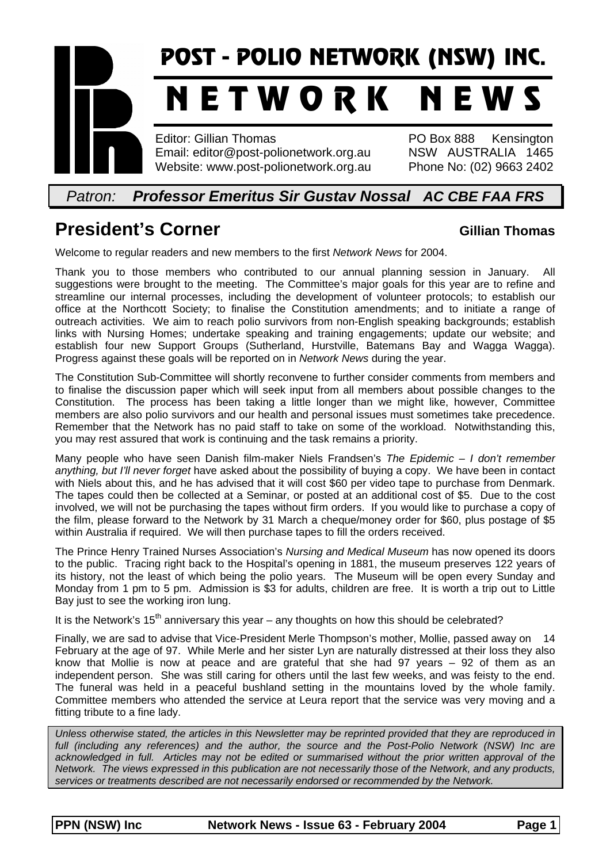## POST - POLIO NETWORK (NSW) INC. N E T W O R K N E W S Editor: Gillian Thomas PO Box 888 Kensington Email: editor@post-polionetwork.org.au NSW AUSTRALIA 1465 Website: www.post-polionetwork.org.au Phone No: (02) 9663 2402

#### Patron: **Professor Emeritus Sir Gustav Nossal AC CBE FAA FRS**

## **President's Corner Gillian Thomas**

Welcome to regular readers and new members to the first Network News for 2004.

Thank you to those members who contributed to our annual planning session in January. All suggestions were brought to the meeting. The Committee's major goals for this year are to refine and streamline our internal processes, including the development of volunteer protocols; to establish our office at the Northcott Society; to finalise the Constitution amendments; and to initiate a range of outreach activities. We aim to reach polio survivors from non-English speaking backgrounds; establish links with Nursing Homes; undertake speaking and training engagements; update our website; and establish four new Support Groups (Sutherland, Hurstville, Batemans Bay and Wagga Wagga). Progress against these goals will be reported on in Network News during the year.

The Constitution Sub-Committee will shortly reconvene to further consider comments from members and to finalise the discussion paper which will seek input from all members about possible changes to the Constitution. The process has been taking a little longer than we might like, however, Committee members are also polio survivors and our health and personal issues must sometimes take precedence. Remember that the Network has no paid staff to take on some of the workload. Notwithstanding this, you may rest assured that work is continuing and the task remains a priority.

Many people who have seen Danish film-maker Niels Frandsen's The Epidemic  $-1$  don't remember anything, but I'll never forget have asked about the possibility of buying a copy. We have been in contact with Niels about this, and he has advised that it will cost \$60 per video tape to purchase from Denmark. The tapes could then be collected at a Seminar, or posted at an additional cost of \$5. Due to the cost involved, we will not be purchasing the tapes without firm orders. If you would like to purchase a copy of the film, please forward to the Network by 31 March a cheque/money order for \$60, plus postage of \$5 within Australia if required. We will then purchase tapes to fill the orders received.

The Prince Henry Trained Nurses Association's Nursing and Medical Museum has now opened its doors to the public. Tracing right back to the Hospital's opening in 1881, the museum preserves 122 years of its history, not the least of which being the polio years. The Museum will be open every Sunday and Monday from 1 pm to 5 pm. Admission is \$3 for adults, children are free. It is worth a trip out to Little Bay just to see the working iron lung.

It is the Network's  $15<sup>th</sup>$  anniversary this year – any thoughts on how this should be celebrated?

Finally, we are sad to advise that Vice-President Merle Thompson's mother, Mollie, passed away on 14 February at the age of 97. While Merle and her sister Lyn are naturally distressed at their loss they also know that Mollie is now at peace and are grateful that she had 97 years – 92 of them as an independent person. She was still caring for others until the last few weeks, and was feisty to the end. The funeral was held in a peaceful bushland setting in the mountains loved by the whole family. Committee members who attended the service at Leura report that the service was very moving and a fitting tribute to a fine lady.

Unless otherwise stated, the articles in this Newsletter may be reprinted provided that they are reproduced in full (including any references) and the author, the source and the Post-Polio Network (NSW) Inc are acknowledged in full. Articles may not be edited or summarised without the prior written approval of the Network. The views expressed in this publication are not necessarily those of the Network, and any products, services or treatments described are not necessarily endorsed or recommended by the Network.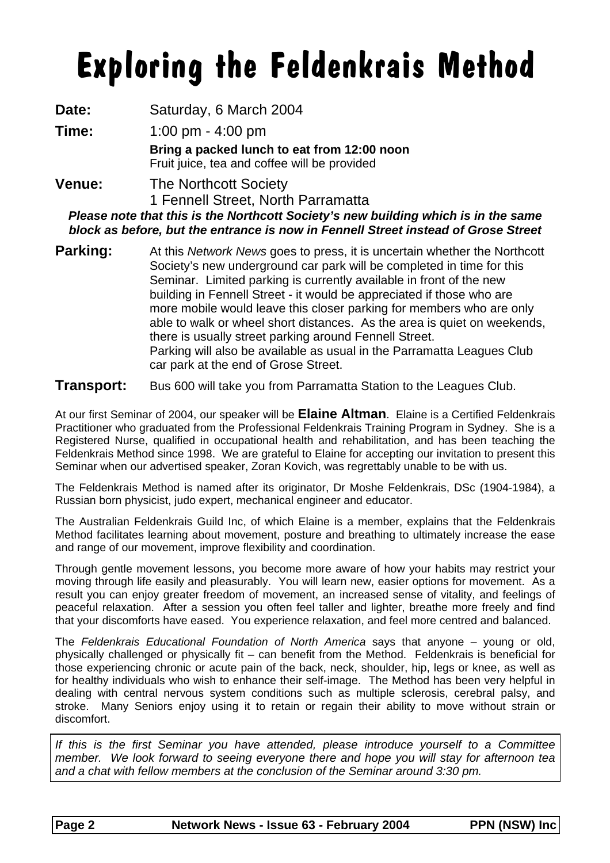# Exploring the Feldenkrais Method

**Date:** Saturday, 6 March 2004 **Time:** 1:00 pm - 4:00 pm **Bring a packed lunch to eat from 12:00 noon**  Fruit juice, tea and coffee will be provided **Venue:** The Northcott Society 1 Fennell Street, North Parramatta **Please note that this is the Northcott Society's new building which is in the same block as before, but the entrance is now in Fennell Street instead of Grose Street** 

**Parking:** At this Network News goes to press, it is uncertain whether the Northcott Society's new underground car park will be completed in time for this Seminar. Limited parking is currently available in front of the new building in Fennell Street - it would be appreciated if those who are more mobile would leave this closer parking for members who are only able to walk or wheel short distances. As the area is quiet on weekends, there is usually street parking around Fennell Street. Parking will also be available as usual in the Parramatta Leagues Club car park at the end of Grose Street.

**Transport:** Bus 600 will take you from Parramatta Station to the Leagues Club.

At our first Seminar of 2004, our speaker will be **Elaine Altman**. Elaine is a Certified Feldenkrais Practitioner who graduated from the Professional Feldenkrais Training Program in Sydney. She is a Registered Nurse, qualified in occupational health and rehabilitation, and has been teaching the Feldenkrais Method since 1998. We are grateful to Elaine for accepting our invitation to present this Seminar when our advertised speaker, Zoran Kovich, was regrettably unable to be with us.

The Feldenkrais Method is named after its originator, Dr Moshe Feldenkrais, DSc (1904-1984), a Russian born physicist, judo expert, mechanical engineer and educator.

The Australian Feldenkrais Guild Inc, of which Elaine is a member, explains that the Feldenkrais Method facilitates learning about movement, posture and breathing to ultimately increase the ease and range of our movement, improve flexibility and coordination.

Through gentle movement lessons, you become more aware of how your habits may restrict your moving through life easily and pleasurably. You will learn new, easier options for movement. As a result you can enjoy greater freedom of movement, an increased sense of vitality, and feelings of peaceful relaxation. After a session you often feel taller and lighter, breathe more freely and find that your discomforts have eased. You experience relaxation, and feel more centred and balanced.

The Feldenkrais Educational Foundation of North America says that anyone – young or old, physically challenged or physically fit – can benefit from the Method. Feldenkrais is beneficial for those experiencing chronic or acute pain of the back, neck, shoulder, hip, legs or knee, as well as for healthy individuals who wish to enhance their self-image. The Method has been very helpful in dealing with central nervous system conditions such as multiple sclerosis, cerebral palsy, and stroke. Many Seniors enjoy using it to retain or regain their ability to move without strain or discomfort.

If this is the first Seminar you have attended, please introduce yourself to a Committee member. We look forward to seeing everyone there and hope you will stay for afternoon tea and a chat with fellow members at the conclusion of the Seminar around 3:30 pm.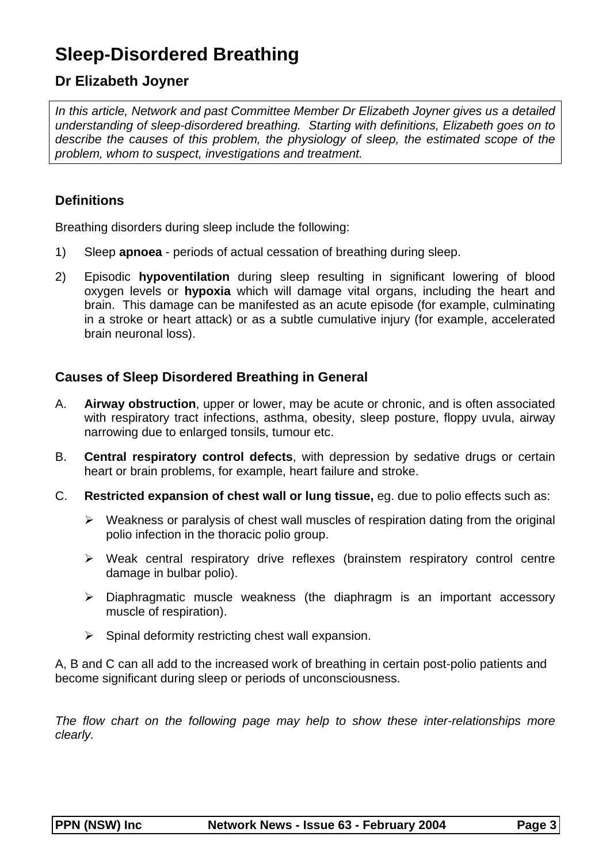## **Sleep-Disordered Breathing**

#### **Dr Elizabeth Joyner**

In this article, Network and past Committee Member Dr Elizabeth Joyner gives us a detailed understanding of sleep-disordered breathing. Starting with definitions, Elizabeth goes on to describe the causes of this problem, the physiology of sleep, the estimated scope of the problem, whom to suspect, investigations and treatment.

#### **Definitions**

Breathing disorders during sleep include the following:

- 1) Sleep **apnoea** periods of actual cessation of breathing during sleep.
- 2) Episodic **hypoventilation** during sleep resulting in significant lowering of blood oxygen levels or **hypoxia** which will damage vital organs, including the heart and brain. This damage can be manifested as an acute episode (for example, culminating in a stroke or heart attack) or as a subtle cumulative injury (for example, accelerated brain neuronal loss).

#### **Causes of Sleep Disordered Breathing in General**

- A. **Airway obstruction**, upper or lower, may be acute or chronic, and is often associated with respiratory tract infections, asthma, obesity, sleep posture, floppy uvula, airway narrowing due to enlarged tonsils, tumour etc.
- B. **Central respiratory control defects**, with depression by sedative drugs or certain heart or brain problems, for example, heart failure and stroke.
- C. **Restricted expansion of chest wall or lung tissue,** eg. due to polio effects such as:
	- $\triangleright$  Weakness or paralysis of chest wall muscles of respiration dating from the original polio infection in the thoracic polio group.
	- $\triangleright$  Weak central respiratory drive reflexes (brainstem respiratory control centre damage in bulbar polio).
	- $\triangleright$  Diaphragmatic muscle weakness (the diaphragm is an important accessory muscle of respiration).
	- $\triangleright$  Spinal deformity restricting chest wall expansion.

A, B and C can all add to the increased work of breathing in certain post-polio patients and become significant during sleep or periods of unconsciousness.

The flow chart on the following page may help to show these inter-relationships more clearly.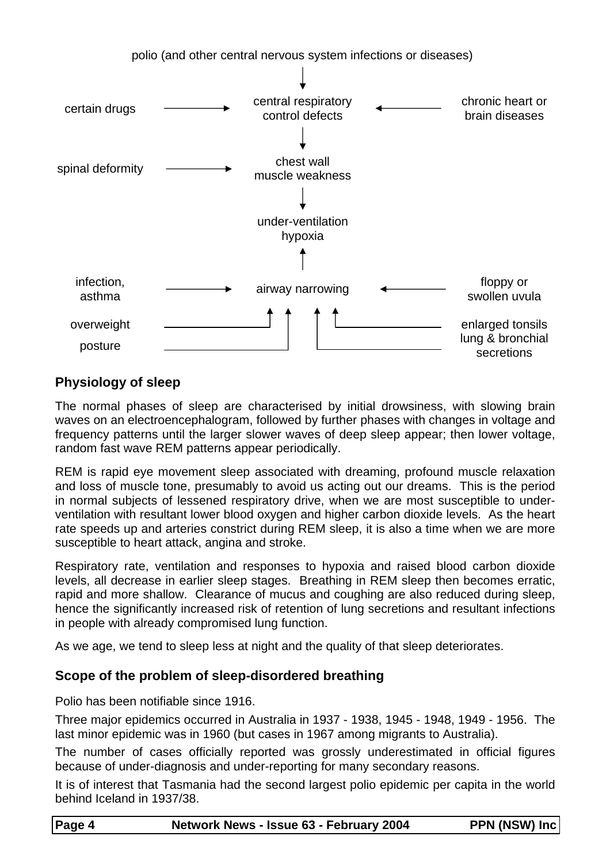



#### **Physiology of sleep**

The normal phases of sleep are characterised by initial drowsiness, with slowing brain waves on an electroencephalogram, followed by further phases with changes in voltage and frequency patterns until the larger slower waves of deep sleep appear; then lower voltage, random fast wave REM patterns appear periodically.

REM is rapid eye movement sleep associated with dreaming, profound muscle relaxation and loss of muscle tone, presumably to avoid us acting out our dreams. This is the period in normal subjects of lessened respiratory drive, when we are most susceptible to underventilation with resultant lower blood oxygen and higher carbon dioxide levels. As the heart rate speeds up and arteries constrict during REM sleep, it is also a time when we are more susceptible to heart attack, angina and stroke.

Respiratory rate, ventilation and responses to hypoxia and raised blood carbon dioxide levels, all decrease in earlier sleep stages. Breathing in REM sleep then becomes erratic, rapid and more shallow. Clearance of mucus and coughing are also reduced during sleep, hence the significantly increased risk of retention of lung secretions and resultant infections in people with already compromised lung function.

As we age, we tend to sleep less at night and the quality of that sleep deteriorates.

#### **Scope of the problem of sleep-disordered breathing**

Polio has been notifiable since 1916.

Three major epidemics occurred in Australia in 1937 - 1938, 1945 - 1948, 1949 - 1956. The last minor epidemic was in 1960 (but cases in 1967 among migrants to Australia).

The number of cases officially reported was grossly underestimated in official figures because of under-diagnosis and under-reporting for many secondary reasons.

It is of interest that Tasmania had the second largest polio epidemic per capita in the world behind Iceland in 1937/38.

| Page 4 | Network News - Issue 63 - February 2004 | <b>PPN (NSW) Inc</b> |
|--------|-----------------------------------------|----------------------|
|--------|-----------------------------------------|----------------------|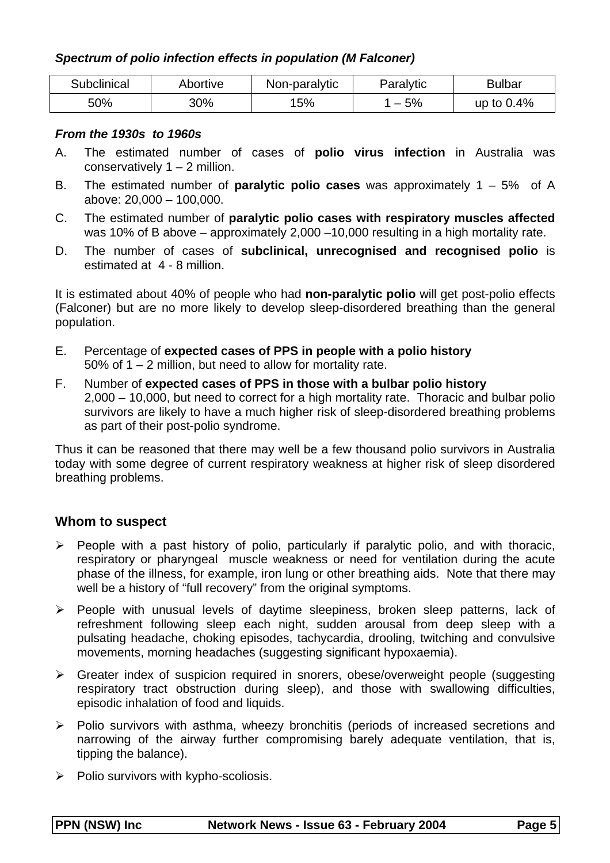#### **Spectrum of polio infection effects in population (M Falconer)**

| <b>Subclinical</b> | Abortive | Non-paralytic | Paralytic | Bulbar        |
|--------------------|----------|---------------|-----------|---------------|
| 50%                | 30%      | 15%           | 5%<br>—   | up to $0.4\%$ |

#### **From the 1930s to 1960s**

- A. The estimated number of cases of **polio virus infection** in Australia was conservatively  $1 - 2$  million.
- B. The estimated number of **paralytic polio cases** was approximately 1 5% of A above: 20,000 – 100,000.
- C. The estimated number of **paralytic polio cases with respiratory muscles affected** was 10% of B above – approximately 2,000 –10,000 resulting in a high mortality rate.
- D. The number of cases of **subclinical, unrecognised and recognised polio** is estimated at 4 - 8 million.

It is estimated about 40% of people who had **non-paralytic polio** will get post-polio effects (Falconer) but are no more likely to develop sleep-disordered breathing than the general population.

- E. Percentage of **expected cases of PPS in people with a polio history**  50% of 1 – 2 million, but need to allow for mortality rate.
- F. Number of **expected cases of PPS in those with a bulbar polio history**  2,000 – 10,000, but need to correct for a high mortality rate. Thoracic and bulbar polio survivors are likely to have a much higher risk of sleep-disordered breathing problems as part of their post-polio syndrome.

Thus it can be reasoned that there may well be a few thousand polio survivors in Australia today with some degree of current respiratory weakness at higher risk of sleep disordered breathing problems.

#### **Whom to suspect**

- $\triangleright$  People with a past history of polio, particularly if paralytic polio, and with thoracic, respiratory or pharyngeal muscle weakness or need for ventilation during the acute phase of the illness, for example, iron lung or other breathing aids. Note that there may well be a history of "full recovery" from the original symptoms.
- $\triangleright$  People with unusual levels of daytime sleepiness, broken sleep patterns, lack of refreshment following sleep each night, sudden arousal from deep sleep with a pulsating headache, choking episodes, tachycardia, drooling, twitching and convulsive movements, morning headaches (suggesting significant hypoxaemia).
- $\triangleright$  Greater index of suspicion required in snorers, obese/overweight people (suggesting respiratory tract obstruction during sleep), and those with swallowing difficulties, episodic inhalation of food and liquids.
- $\triangleright$  Polio survivors with asthma, wheezy bronchitis (periods of increased secretions and narrowing of the airway further compromising barely adequate ventilation, that is, tipping the balance).
- $\triangleright$  Polio survivors with kypho-scoliosis.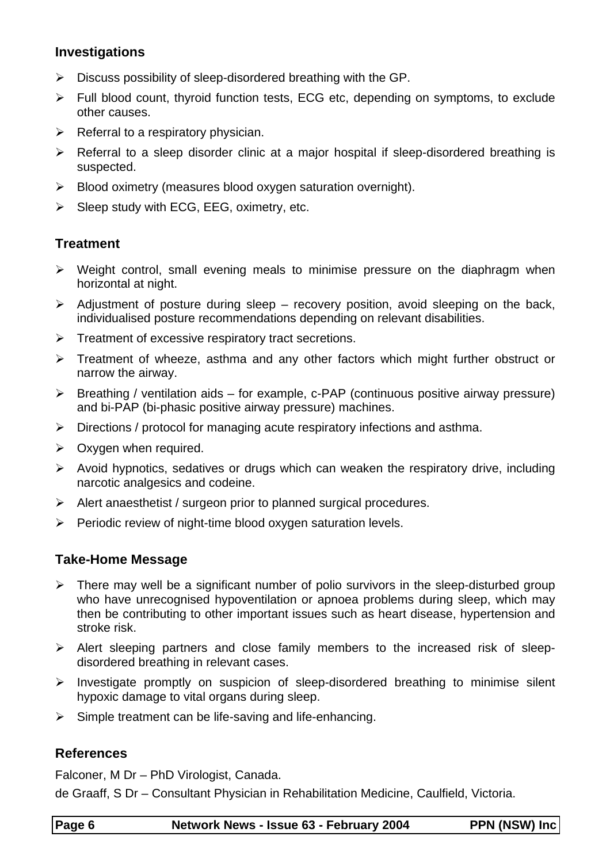#### **Investigations**

- $\triangleright$  Discuss possibility of sleep-disordered breathing with the GP.
- Full blood count, thyroid function tests, ECG etc, depending on symptoms, to exclude other causes.
- $\triangleright$  Referral to a respiratory physician.
- $\triangleright$  Referral to a sleep disorder clinic at a major hospital if sleep-disordered breathing is suspected.
- $\triangleright$  Blood oximetry (measures blood oxygen saturation overnight).
- $\triangleright$  Sleep study with ECG, EEG, oximetry, etc.

#### **Treatment**

- Weight control, small evening meals to minimise pressure on the diaphragm when horizontal at night.
- $\triangleright$  Adjustment of posture during sleep recovery position, avoid sleeping on the back, individualised posture recommendations depending on relevant disabilities.
- $\triangleright$  Treatment of excessive respiratory tract secretions.
- $\triangleright$  Treatment of wheeze, asthma and any other factors which might further obstruct or narrow the airway.
- $\triangleright$  Breathing / ventilation aids for example, c-PAP (continuous positive airway pressure) and bi-PAP (bi-phasic positive airway pressure) machines.
- $\triangleright$  Directions / protocol for managing acute respiratory infections and asthma.
- $\triangleright$  Oxygen when required.
- $\triangleright$  Avoid hypnotics, sedatives or drugs which can weaken the respiratory drive, including narcotic analgesics and codeine.
- $\triangleright$  Alert anaesthetist / surgeon prior to planned surgical procedures.
- $\triangleright$  Periodic review of night-time blood oxygen saturation levels.

#### **Take-Home Message**

- $\triangleright$  There may well be a significant number of polio survivors in the sleep-disturbed group who have unrecognised hypoventilation or apnoea problems during sleep, which may then be contributing to other important issues such as heart disease, hypertension and stroke risk.
- $\triangleright$  Alert sleeping partners and close family members to the increased risk of sleepdisordered breathing in relevant cases.
- $\triangleright$  Investigate promptly on suspicion of sleep-disordered breathing to minimise silent hypoxic damage to vital organs during sleep.
- $\triangleright$  Simple treatment can be life-saving and life-enhancing.

#### **References**

Falconer, M Dr – PhD Virologist, Canada.

de Graaff, S Dr – Consultant Physician in Rehabilitation Medicine, Caulfield, Victoria.

| Page 6 | Network News - Issue 63 - February 2004 | <b>PPN (NSW) Inc</b> |
|--------|-----------------------------------------|----------------------|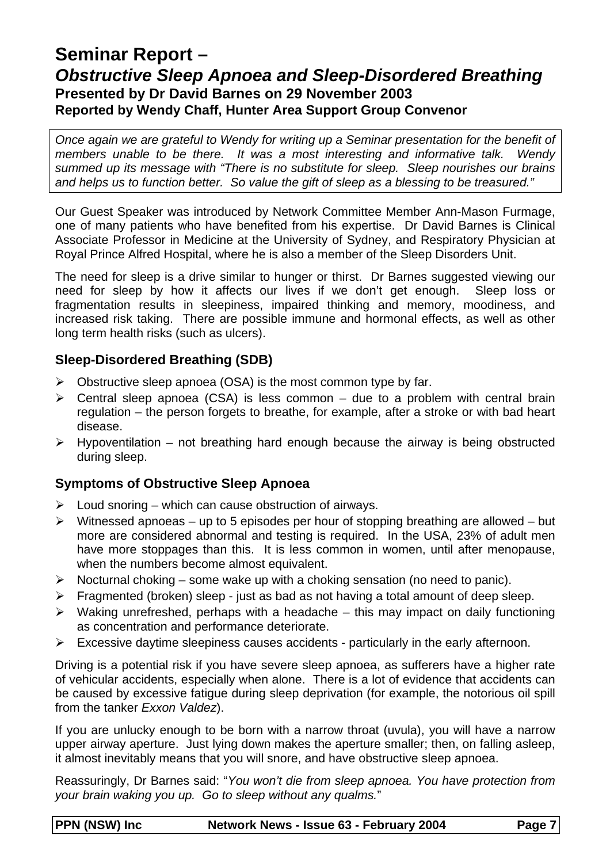### **Seminar Report – Obstructive Sleep Apnoea and Sleep-Disordered Breathing Presented by Dr David Barnes on 29 November 2003 Reported by Wendy Chaff, Hunter Area Support Group Convenor**

Once again we are grateful to Wendy for writing up a Seminar presentation for the benefit of members unable to be there. It was a most interesting and informative talk. Wendy summed up its message with "There is no substitute for sleep. Sleep nourishes our brains and helps us to function better. So value the gift of sleep as a blessing to be treasured."

Our Guest Speaker was introduced by Network Committee Member Ann-Mason Furmage, one of many patients who have benefited from his expertise. Dr David Barnes is Clinical Associate Professor in Medicine at the University of Sydney, and Respiratory Physician at Royal Prince Alfred Hospital, where he is also a member of the Sleep Disorders Unit.

The need for sleep is a drive similar to hunger or thirst. Dr Barnes suggested viewing our need for sleep by how it affects our lives if we don't get enough. Sleep loss or fragmentation results in sleepiness, impaired thinking and memory, moodiness, and increased risk taking. There are possible immune and hormonal effects, as well as other long term health risks (such as ulcers).

#### **Sleep-Disordered Breathing (SDB)**

- $\triangleright$  Obstructive sleep apnoea (OSA) is the most common type by far.
- $\triangleright$  Central sleep apnoea (CSA) is less common due to a problem with central brain regulation – the person forgets to breathe, for example, after a stroke or with bad heart disease.
- $\triangleright$  Hypoventilation not breathing hard enough because the airway is being obstructed during sleep.

#### **Symptoms of Obstructive Sleep Apnoea**

- $\triangleright$  Loud snoring which can cause obstruction of airways.
- $\triangleright$  Witnessed apnoeas up to 5 episodes per hour of stopping breathing are allowed but more are considered abnormal and testing is required. In the USA, 23% of adult men have more stoppages than this. It is less common in women, until after menopause, when the numbers become almost equivalent.
- $\triangleright$  Nocturnal choking some wake up with a choking sensation (no need to panic).
- $\triangleright$  Fragmented (broken) sleep just as bad as not having a total amount of deep sleep.
- $\triangleright$  Waking unrefreshed, perhaps with a headache this may impact on daily functioning as concentration and performance deteriorate.
- $\triangleright$  Excessive daytime sleepiness causes accidents particularly in the early afternoon.

Driving is a potential risk if you have severe sleep apnoea, as sufferers have a higher rate of vehicular accidents, especially when alone. There is a lot of evidence that accidents can be caused by excessive fatigue during sleep deprivation (for example, the notorious oil spill from the tanker Exxon Valdez).

If you are unlucky enough to be born with a narrow throat (uvula), you will have a narrow upper airway aperture. Just lying down makes the aperture smaller; then, on falling asleep, it almost inevitably means that you will snore, and have obstructive sleep apnoea.

Reassuringly, Dr Barnes said: "You won't die from sleep apnoea. You have protection from your brain waking you up. Go to sleep without any qualms."

| <b>PPN (NSW) Inc</b><br>Network News - Issue 63 - February 2004 | Page 7 |
|-----------------------------------------------------------------|--------|
|-----------------------------------------------------------------|--------|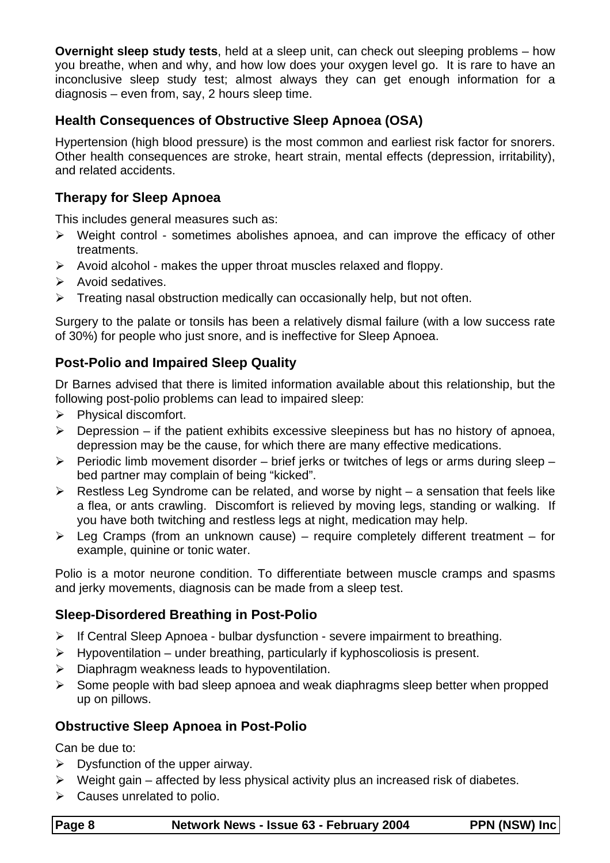**Overnight sleep study tests**, held at a sleep unit, can check out sleeping problems – how you breathe, when and why, and how low does your oxygen level go. It is rare to have an inconclusive sleep study test; almost always they can get enough information for a diagnosis – even from, say, 2 hours sleep time.

#### **Health Consequences of Obstructive Sleep Apnoea (OSA)**

Hypertension (high blood pressure) is the most common and earliest risk factor for snorers. Other health consequences are stroke, heart strain, mental effects (depression, irritability), and related accidents.

#### **Therapy for Sleep Apnoea**

This includes general measures such as:

- $\triangleright$  Weight control sometimes abolishes apnoea, and can improve the efficacy of other treatments.
- $\triangleright$  Avoid alcohol makes the upper throat muscles relaxed and floppy.
- $\triangleright$  Avoid sedatives.
- $\triangleright$  Treating nasal obstruction medically can occasionally help, but not often.

Surgery to the palate or tonsils has been a relatively dismal failure (with a low success rate of 30%) for people who just snore, and is ineffective for Sleep Apnoea.

#### **Post-Polio and Impaired Sleep Quality**

Dr Barnes advised that there is limited information available about this relationship, but the following post-polio problems can lead to impaired sleep:

- $\triangleright$  Physical discomfort.
- $\triangleright$  Depression if the patient exhibits excessive sleepiness but has no history of apnoea, depression may be the cause, for which there are many effective medications.
- $\triangleright$  Periodic limb movement disorder brief jerks or twitches of legs or arms during sleep bed partner may complain of being "kicked".
- $\triangleright$  Restless Leg Syndrome can be related, and worse by night a sensation that feels like a flea, or ants crawling. Discomfort is relieved by moving legs, standing or walking. If you have both twitching and restless legs at night, medication may help.
- $\triangleright$  Leg Cramps (from an unknown cause) require completely different treatment for example, quinine or tonic water.

Polio is a motor neurone condition. To differentiate between muscle cramps and spasms and jerky movements, diagnosis can be made from a sleep test.

#### **Sleep-Disordered Breathing in Post-Polio**

- $\triangleright$  If Central Sleep Apnoea bulbar dysfunction severe impairment to breathing.
- $\triangleright$  Hypoventilation under breathing, particularly if kyphoscoliosis is present.
- $\triangleright$  Diaphragm weakness leads to hypoventilation.
- $\triangleright$  Some people with bad sleep apnoea and weak diaphragms sleep better when propped up on pillows.

#### **Obstructive Sleep Apnoea in Post-Polio**

Can be due to:

- $\triangleright$  Dysfunction of the upper airway.
- $\triangleright$  Weight gain affected by less physical activity plus an increased risk of diabetes.
- $\triangleright$  Causes unrelated to polio.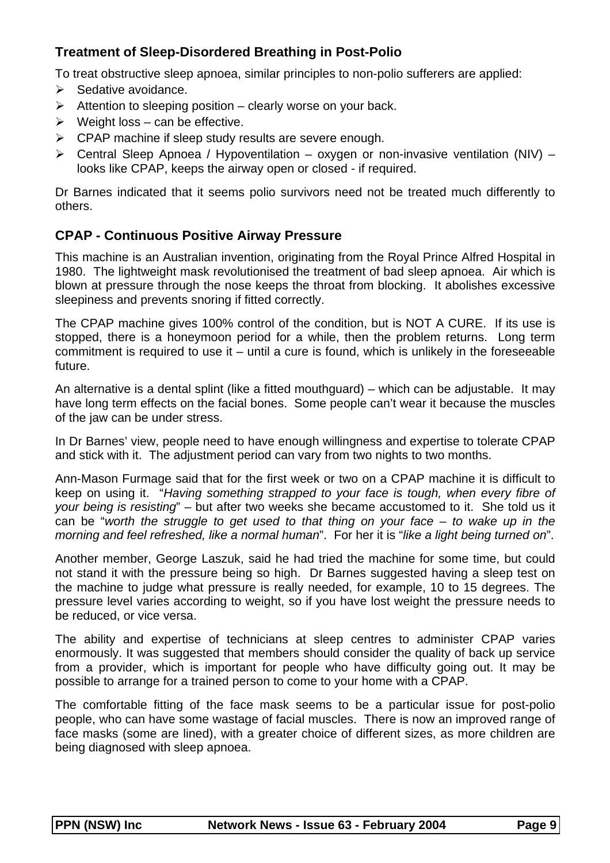#### **Treatment of Sleep-Disordered Breathing in Post-Polio**

To treat obstructive sleep apnoea, similar principles to non-polio sufferers are applied:

- $\triangleright$  Sedative avoidance.
- $\triangleright$  Attention to sleeping position clearly worse on your back.
- $\triangleright$  Weight loss can be effective.
- $\triangleright$  CPAP machine if sleep study results are severe enough.
- $\triangleright$  Central Sleep Apnoea / Hypoventilation oxygen or non-invasive ventilation (NIV) looks like CPAP, keeps the airway open or closed - if required.

Dr Barnes indicated that it seems polio survivors need not be treated much differently to others.

#### **CPAP - Continuous Positive Airway Pressure**

This machine is an Australian invention, originating from the Royal Prince Alfred Hospital in 1980. The lightweight mask revolutionised the treatment of bad sleep apnoea. Air which is blown at pressure through the nose keeps the throat from blocking. It abolishes excessive sleepiness and prevents snoring if fitted correctly.

The CPAP machine gives 100% control of the condition, but is NOT A CURE. If its use is stopped, there is a honeymoon period for a while, then the problem returns. Long term commitment is required to use it – until a cure is found, which is unlikely in the foreseeable future.

An alternative is a dental splint (like a fitted mouthguard) – which can be adjustable. It may have long term effects on the facial bones. Some people can't wear it because the muscles of the jaw can be under stress.

In Dr Barnes' view, people need to have enough willingness and expertise to tolerate CPAP and stick with it. The adjustment period can vary from two nights to two months.

Ann-Mason Furmage said that for the first week or two on a CPAP machine it is difficult to keep on using it. "Having something strapped to your face is tough, when every fibre of your being is resisting" – but after two weeks she became accustomed to it. She told us it can be "worth the struggle to get used to that thing on your face  $-$  to wake up in the morning and feel refreshed, like a normal human". For her it is "like a light being turned on".

Another member, George Laszuk, said he had tried the machine for some time, but could not stand it with the pressure being so high. Dr Barnes suggested having a sleep test on the machine to judge what pressure is really needed, for example, 10 to 15 degrees. The pressure level varies according to weight, so if you have lost weight the pressure needs to be reduced, or vice versa.

The ability and expertise of technicians at sleep centres to administer CPAP varies enormously. It was suggested that members should consider the quality of back up service from a provider, which is important for people who have difficulty going out. It may be possible to arrange for a trained person to come to your home with a CPAP.

The comfortable fitting of the face mask seems to be a particular issue for post-polio people, who can have some wastage of facial muscles. There is now an improved range of face masks (some are lined), with a greater choice of different sizes, as more children are being diagnosed with sleep apnoea.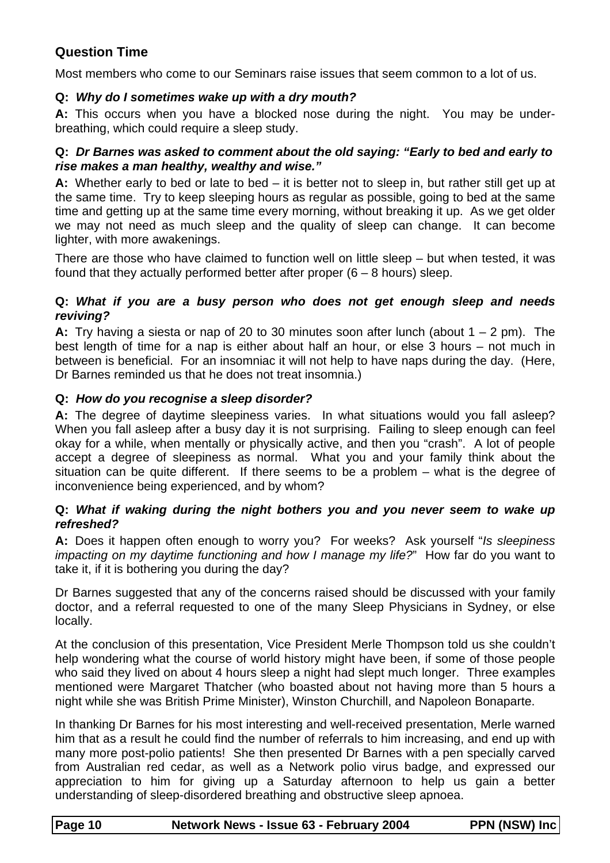#### **Question Time**

Most members who come to our Seminars raise issues that seem common to a lot of us.

#### **Q: Why do I sometimes wake up with a dry mouth?**

**A:** This occurs when you have a blocked nose during the night. You may be underbreathing, which could require a sleep study.

#### **Q: Dr Barnes was asked to comment about the old saying: "Early to bed and early to rise makes a man healthy, wealthy and wise."**

**A:** Whether early to bed or late to bed – it is better not to sleep in, but rather still get up at the same time. Try to keep sleeping hours as regular as possible, going to bed at the same time and getting up at the same time every morning, without breaking it up. As we get older we may not need as much sleep and the quality of sleep can change. It can become lighter, with more awakenings.

There are those who have claimed to function well on little sleep – but when tested, it was found that they actually performed better after proper  $(6 - 8$  hours) sleep.

#### **Q: What if you are a busy person who does not get enough sleep and needs reviving?**

**A:** Try having a siesta or nap of 20 to 30 minutes soon after lunch (about 1 – 2 pm). The best length of time for a nap is either about half an hour, or else 3 hours – not much in between is beneficial. For an insomniac it will not help to have naps during the day. (Here, Dr Barnes reminded us that he does not treat insomnia.)

#### **Q: How do you recognise a sleep disorder?**

**A:** The degree of daytime sleepiness varies. In what situations would you fall asleep? When you fall asleep after a busy day it is not surprising. Failing to sleep enough can feel okay for a while, when mentally or physically active, and then you "crash". A lot of people accept a degree of sleepiness as normal. What you and your family think about the situation can be quite different. If there seems to be a problem – what is the degree of inconvenience being experienced, and by whom?

#### **Q: What if waking during the night bothers you and you never seem to wake up refreshed?**

**A:** Does it happen often enough to worry you? For weeks? Ask yourself "Is sleepiness impacting on my daytime functioning and how I manage my life?" How far do you want to take it, if it is bothering you during the day?

Dr Barnes suggested that any of the concerns raised should be discussed with your family doctor, and a referral requested to one of the many Sleep Physicians in Sydney, or else locally.

At the conclusion of this presentation, Vice President Merle Thompson told us she couldn't help wondering what the course of world history might have been, if some of those people who said they lived on about 4 hours sleep a night had slept much longer. Three examples mentioned were Margaret Thatcher (who boasted about not having more than 5 hours a night while she was British Prime Minister), Winston Churchill, and Napoleon Bonaparte.

In thanking Dr Barnes for his most interesting and well-received presentation, Merle warned him that as a result he could find the number of referrals to him increasing, and end up with many more post-polio patients! She then presented Dr Barnes with a pen specially carved from Australian red cedar, as well as a Network polio virus badge, and expressed our appreciation to him for giving up a Saturday afternoon to help us gain a better understanding of sleep-disordered breathing and obstructive sleep apnoea.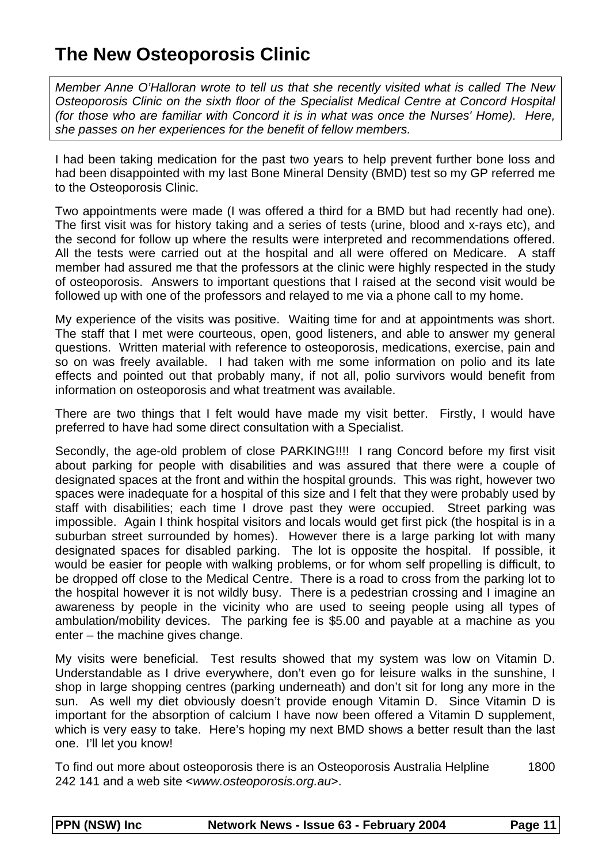## **The New Osteoporosis Clinic**

Member Anne O'Halloran wrote to tell us that she recently visited what is called The New Osteoporosis Clinic on the sixth floor of the Specialist Medical Centre at Concord Hospital (for those who are familiar with Concord it is in what was once the Nurses' Home). Here, she passes on her experiences for the benefit of fellow members.

I had been taking medication for the past two years to help prevent further bone loss and had been disappointed with my last Bone Mineral Density (BMD) test so my GP referred me to the Osteoporosis Clinic.

Two appointments were made (I was offered a third for a BMD but had recently had one). The first visit was for history taking and a series of tests (urine, blood and x-rays etc), and the second for follow up where the results were interpreted and recommendations offered. All the tests were carried out at the hospital and all were offered on Medicare. A staff member had assured me that the professors at the clinic were highly respected in the study of osteoporosis. Answers to important questions that I raised at the second visit would be followed up with one of the professors and relayed to me via a phone call to my home.

My experience of the visits was positive. Waiting time for and at appointments was short. The staff that I met were courteous, open, good listeners, and able to answer my general questions. Written material with reference to osteoporosis, medications, exercise, pain and so on was freely available. I had taken with me some information on polio and its late effects and pointed out that probably many, if not all, polio survivors would benefit from information on osteoporosis and what treatment was available.

There are two things that I felt would have made my visit better. Firstly, I would have preferred to have had some direct consultation with a Specialist.

Secondly, the age-old problem of close PARKING!!!! I rang Concord before my first visit about parking for people with disabilities and was assured that there were a couple of designated spaces at the front and within the hospital grounds. This was right, however two spaces were inadequate for a hospital of this size and I felt that they were probably used by staff with disabilities; each time I drove past they were occupied. Street parking was impossible. Again I think hospital visitors and locals would get first pick (the hospital is in a suburban street surrounded by homes). However there is a large parking lot with many designated spaces for disabled parking. The lot is opposite the hospital. If possible, it would be easier for people with walking problems, or for whom self propelling is difficult, to be dropped off close to the Medical Centre. There is a road to cross from the parking lot to the hospital however it is not wildly busy. There is a pedestrian crossing and I imagine an awareness by people in the vicinity who are used to seeing people using all types of ambulation/mobility devices. The parking fee is \$5.00 and payable at a machine as you enter – the machine gives change.

My visits were beneficial. Test results showed that my system was low on Vitamin D. Understandable as I drive everywhere, don't even go for leisure walks in the sunshine, I shop in large shopping centres (parking underneath) and don't sit for long any more in the sun. As well my diet obviously doesn't provide enough Vitamin D. Since Vitamin D is important for the absorption of calcium I have now been offered a Vitamin D supplement, which is very easy to take. Here's hoping my next BMD shows a better result than the last one. I'll let you know!

To find out more about osteoporosis there is an Osteoporosis Australia Helpline 1800 242 141 and a web site <www.osteoporosis.org.au>.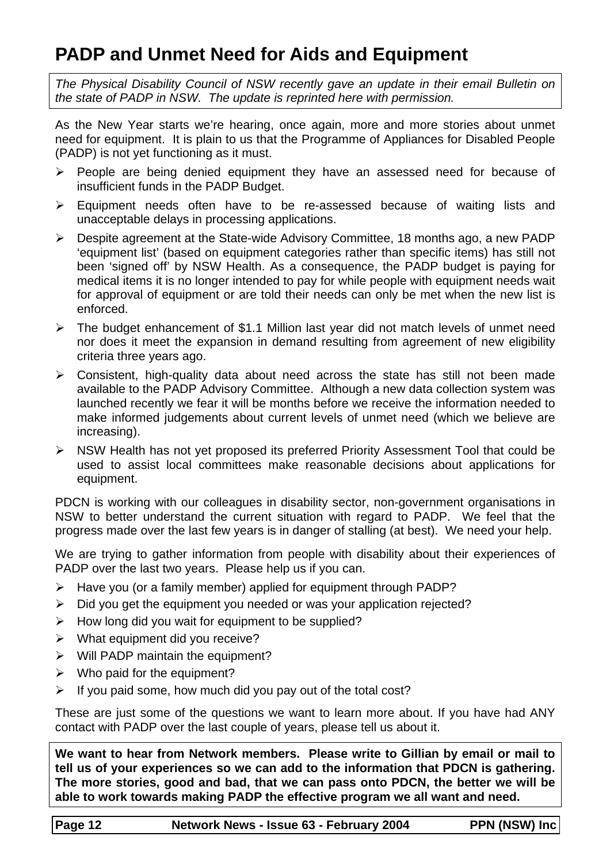## **PADP and Unmet Need for Aids and Equipment**

The Physical Disability Council of NSW recently gave an update in their email Bulletin on the state of PADP in NSW. The update is reprinted here with permission.

As the New Year starts we're hearing, once again, more and more stories about unmet need for equipment. It is plain to us that the Programme of Appliances for Disabled People (PADP) is not yet functioning as it must.

- $\triangleright$  People are being denied equipment they have an assessed need for because of insufficient funds in the PADP Budget.
- $\triangleright$  Equipment needs often have to be re-assessed because of waiting lists and unacceptable delays in processing applications.
- Despite agreement at the State-wide Advisory Committee, 18 months ago, a new PADP 'equipment list' (based on equipment categories rather than specific items) has still not been 'signed off' by NSW Health. As a consequence, the PADP budget is paying for medical items it is no longer intended to pay for while people with equipment needs wait for approval of equipment or are told their needs can only be met when the new list is enforced.
- $\triangleright$  The budget enhancement of \$1.1 Million last year did not match levels of unmet need nor does it meet the expansion in demand resulting from agreement of new eligibility criteria three years ago.
- $\triangleright$  Consistent, high-quality data about need across the state has still not been made available to the PADP Advisory Committee. Although a new data collection system was launched recently we fear it will be months before we receive the information needed to make informed judgements about current levels of unmet need (which we believe are increasing).
- $\triangleright$  NSW Health has not yet proposed its preferred Priority Assessment Tool that could be used to assist local committees make reasonable decisions about applications for equipment.

PDCN is working with our colleagues in disability sector, non-government organisations in NSW to better understand the current situation with regard to PADP. We feel that the progress made over the last few years is in danger of stalling (at best). We need your help.

We are trying to gather information from people with disability about their experiences of PADP over the last two years. Please help us if you can.

- $\triangleright$  Have you (or a family member) applied for equipment through PADP?
- $\triangleright$  Did you get the equipment you needed or was your application rejected?
- $\triangleright$  How long did you wait for equipment to be supplied?
- $\triangleright$  What equipment did you receive?
- $\triangleright$  Will PADP maintain the equipment?
- $\triangleright$  Who paid for the equipment?
- $\triangleright$  If you paid some, how much did you pay out of the total cost?

These are just some of the questions we want to learn more about. If you have had ANY contact with PADP over the last couple of years, please tell us about it.

**We want to hear from Network members. Please write to Gillian by email or mail to tell us of your experiences so we can add to the information that PDCN is gathering. The more stories, good and bad, that we can pass onto PDCN, the better we will be able to work towards making PADP the effective program we all want and need.** 

Page 12 **Network News - Issue 63 - February 2004** PPN (NSW) Inc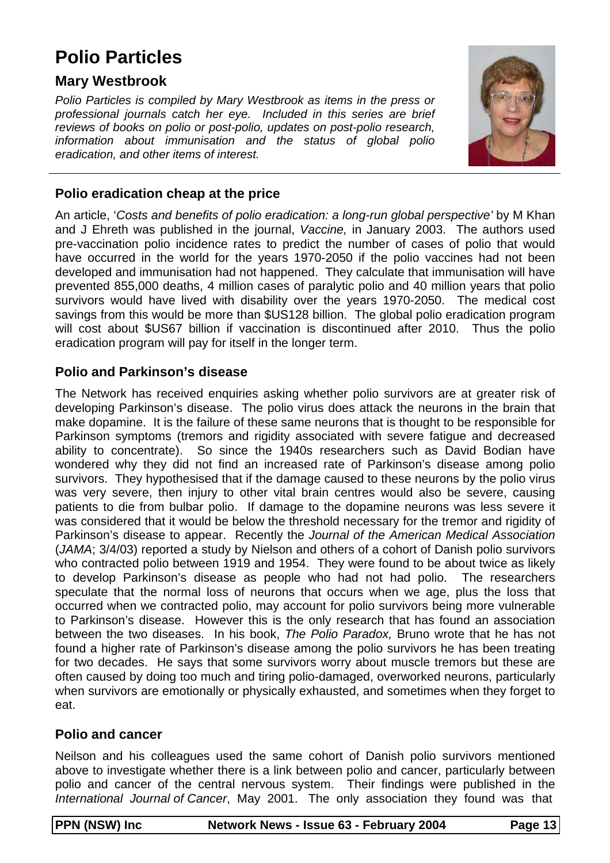## **Polio Particles**

#### **Mary Westbrook**

Polio Particles is compiled by Mary Westbrook as items in the press or professional journals catch her eye. Included in this series are brief reviews of books on polio or post-polio, updates on post-polio research, information about immunisation and the status of global polio eradication, and other items of interest.



#### **Polio eradication cheap at the price**

An article, 'Costs and benefits of polio eradication: a long-run global perspective' by M Khan and J Ehreth was published in the journal, Vaccine, in January 2003. The authors used pre-vaccination polio incidence rates to predict the number of cases of polio that would have occurred in the world for the years 1970-2050 if the polio vaccines had not been developed and immunisation had not happened. They calculate that immunisation will have prevented 855,000 deaths, 4 million cases of paralytic polio and 40 million years that polio survivors would have lived with disability over the years 1970-2050. The medical cost savings from this would be more than \$US128 billion. The global polio eradication program will cost about \$US67 billion if vaccination is discontinued after 2010. Thus the polio eradication program will pay for itself in the longer term.

#### **Polio and Parkinson's disease**

The Network has received enquiries asking whether polio survivors are at greater risk of developing Parkinson's disease. The polio virus does attack the neurons in the brain that make dopamine. It is the failure of these same neurons that is thought to be responsible for Parkinson symptoms (tremors and rigidity associated with severe fatigue and decreased ability to concentrate). So since the 1940s researchers such as David Bodian have wondered why they did not find an increased rate of Parkinson's disease among polio survivors. They hypothesised that if the damage caused to these neurons by the polio virus was very severe, then injury to other vital brain centres would also be severe, causing patients to die from bulbar polio. If damage to the dopamine neurons was less severe it was considered that it would be below the threshold necessary for the tremor and rigidity of Parkinson's disease to appear. Recently the Journal of the American Medical Association (JAMA; 3/4/03) reported a study by Nielson and others of a cohort of Danish polio survivors who contracted polio between 1919 and 1954. They were found to be about twice as likely to develop Parkinson's disease as people who had not had polio. The researchers speculate that the normal loss of neurons that occurs when we age, plus the loss that occurred when we contracted polio, may account for polio survivors being more vulnerable to Parkinson's disease. However this is the only research that has found an association between the two diseases. In his book, The Polio Paradox, Bruno wrote that he has not found a higher rate of Parkinson's disease among the polio survivors he has been treating for two decades. He says that some survivors worry about muscle tremors but these are often caused by doing too much and tiring polio-damaged, overworked neurons, particularly when survivors are emotionally or physically exhausted, and sometimes when they forget to eat.

#### **Polio and cancer**

Neilson and his colleagues used the same cohort of Danish polio survivors mentioned above to investigate whether there is a link between polio and cancer, particularly between polio and cancer of the central nervous system. Their findings were published in the International Journal of Cancer, May 2001. The only association they found was that

| <b>PPN (NSW) Inc</b> |  |  |
|----------------------|--|--|
|----------------------|--|--|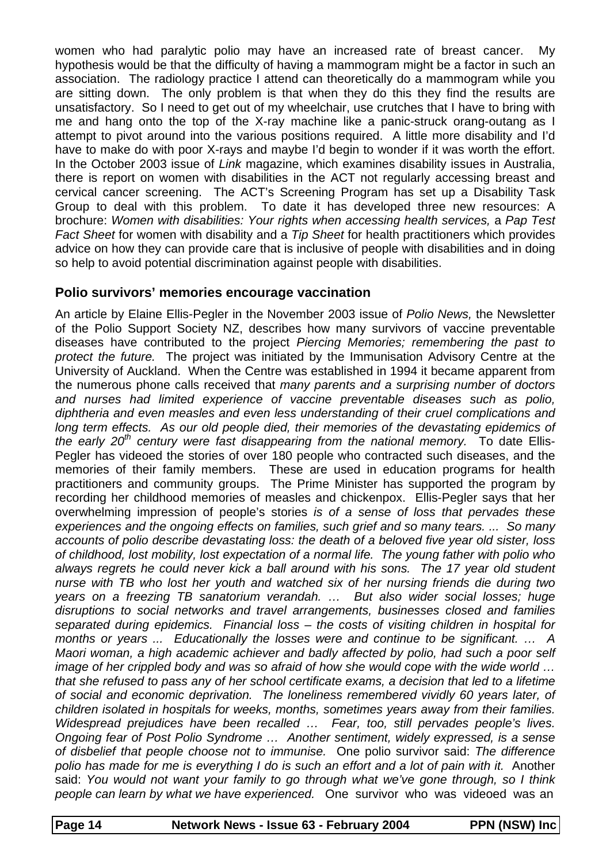women who had paralytic polio may have an increased rate of breast cancer. My hypothesis would be that the difficulty of having a mammogram might be a factor in such an association. The radiology practice I attend can theoretically do a mammogram while you are sitting down. The only problem is that when they do this they find the results are unsatisfactory. So I need to get out of my wheelchair, use crutches that I have to bring with me and hang onto the top of the X-ray machine like a panic-struck orang-outang as I attempt to pivot around into the various positions required. A little more disability and I'd have to make do with poor X-rays and maybe I'd begin to wonder if it was worth the effort. In the October 2003 issue of *Link* magazine, which examines disability issues in Australia, there is report on women with disabilities in the ACT not regularly accessing breast and cervical cancer screening. The ACT's Screening Program has set up a Disability Task Group to deal with this problem. To date it has developed three new resources: A brochure: Women with disabilities: Your rights when accessing health services, a Pap Test Fact Sheet for women with disability and a Tip Sheet for health practitioners which provides advice on how they can provide care that is inclusive of people with disabilities and in doing so help to avoid potential discrimination against people with disabilities.

#### **Polio survivors' memories encourage vaccination**

An article by Elaine Ellis-Pegler in the November 2003 issue of Polio News, the Newsletter of the Polio Support Society NZ, describes how many survivors of vaccine preventable diseases have contributed to the project Piercing Memories; remembering the past to protect the future. The project was initiated by the Immunisation Advisory Centre at the University of Auckland. When the Centre was established in 1994 it became apparent from the numerous phone calls received that many parents and a surprising number of doctors and nurses had limited experience of vaccine preventable diseases such as polio, diphtheria and even measles and even less understanding of their cruel complications and long term effects. As our old people died, their memories of the devastating epidemics of the early 20<sup>th</sup> century were fast disappearing from the national memory. To date Ellis-Pegler has videoed the stories of over 180 people who contracted such diseases, and the memories of their family members. These are used in education programs for health practitioners and community groups. The Prime Minister has supported the program by recording her childhood memories of measles and chickenpox. Ellis-Pegler says that her overwhelming impression of people's stories is of a sense of loss that pervades these experiences and the ongoing effects on families, such grief and so many tears. ... So many accounts of polio describe devastating loss: the death of a beloved five year old sister, loss of childhood, lost mobility, lost expectation of a normal life. The young father with polio who always regrets he could never kick a ball around with his sons. The 17 year old student nurse with TB who lost her youth and watched six of her nursing friends die during two years on a freezing TB sanatorium verandah. … But also wider social losses; huge disruptions to social networks and travel arrangements, businesses closed and families separated during epidemics. Financial loss – the costs of visiting children in hospital for months or years ... Educationally the losses were and continue to be significant. ... A Maori woman, a high academic achiever and badly affected by polio, had such a poor self image of her crippled body and was so afraid of how she would cope with the wide world … that she refused to pass any of her school certificate exams, a decision that led to a lifetime of social and economic deprivation. The loneliness remembered vividly 60 years later, of children isolated in hospitals for weeks, months, sometimes years away from their families. Widespread prejudices have been recalled ... Fear, too, still pervades people's lives. Ongoing fear of Post Polio Syndrome … Another sentiment, widely expressed, is a sense of disbelief that people choose not to immunise. One polio survivor said: The difference polio has made for me is everything I do is such an effort and a lot of pain with it. Another said: You would not want your family to go through what we've gone through, so I think people can learn by what we have experienced. One survivor who was videoed was an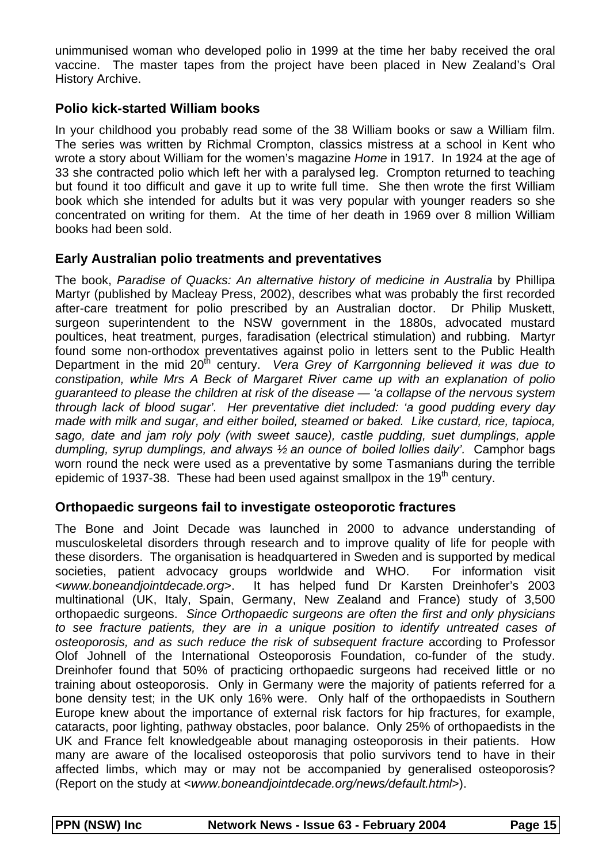unimmunised woman who developed polio in 1999 at the time her baby received the oral vaccine. The master tapes from the project have been placed in New Zealand's Oral History Archive.

#### **Polio kick-started William books**

In your childhood you probably read some of the 38 William books or saw a William film. The series was written by Richmal Crompton, classics mistress at a school in Kent who wrote a story about William for the women's magazine Home in 1917. In 1924 at the age of 33 she contracted polio which left her with a paralysed leg. Crompton returned to teaching but found it too difficult and gave it up to write full time. She then wrote the first William book which she intended for adults but it was very popular with younger readers so she concentrated on writing for them. At the time of her death in 1969 over 8 million William books had been sold.

#### **Early Australian polio treatments and preventatives**

The book, Paradise of Quacks: An alternative history of medicine in Australia by Phillipa Martyr (published by Macleay Press, 2002), describes what was probably the first recorded after-care treatment for polio prescribed by an Australian doctor. Dr Philip Muskett, surgeon superintendent to the NSW government in the 1880s, advocated mustard poultices, heat treatment, purges, faradisation (electrical stimulation) and rubbing. Martyr found some non-orthodox preventatives against polio in letters sent to the Public Health Department in the mid  $20<sup>th</sup>$  century. Vera Grey of Karrgonning believed it was due to constipation, while Mrs A Beck of Margaret River came up with an explanation of polio guaranteed to please the children at risk of the disease — 'a collapse of the nervous system through lack of blood sugar'. Her preventative diet included: 'a good pudding every day made with milk and sugar, and either boiled, steamed or baked. Like custard, rice, tapioca, sago, date and jam roly poly (with sweet sauce), castle pudding, suet dumplings, apple dumpling, syrup dumplings, and always  $\frac{1}{2}$  an ounce of boiled lollies daily'. Camphor bags worn round the neck were used as a preventative by some Tasmanians during the terrible epidemic of 1937-38. These had been used against smallpox in the 19<sup>th</sup> century.

#### **Orthopaedic surgeons fail to investigate osteoporotic fractures**

The Bone and Joint Decade was launched in 2000 to advance understanding of musculoskeletal disorders through research and to improve quality of life for people with these disorders. The organisation is headquartered in Sweden and is supported by medical societies, patient advocacy groups worldwide and WHO. For information visit <www.boneandjointdecade.org>. It has helped fund Dr Karsten Dreinhofer's 2003 multinational (UK, Italy, Spain, Germany, New Zealand and France) study of 3,500 orthopaedic surgeons. Since Orthopaedic surgeons are often the first and only physicians to see fracture patients, they are in a unique position to identify untreated cases of osteoporosis, and as such reduce the risk of subsequent fracture according to Professor Olof Johnell of the International Osteoporosis Foundation, co-funder of the study. Dreinhofer found that 50% of practicing orthopaedic surgeons had received little or no training about osteoporosis. Only in Germany were the majority of patients referred for a bone density test; in the UK only 16% were. Only half of the orthopaedists in Southern Europe knew about the importance of external risk factors for hip fractures, for example, cataracts, poor lighting, pathway obstacles, poor balance. Only 25% of orthopaedists in the UK and France felt knowledgeable about managing osteoporosis in their patients. How many are aware of the localised osteoporosis that polio survivors tend to have in their affected limbs, which may or may not be accompanied by generalised osteoporosis? (Report on the study at <www.boneandjointdecade.org/news/default.html>).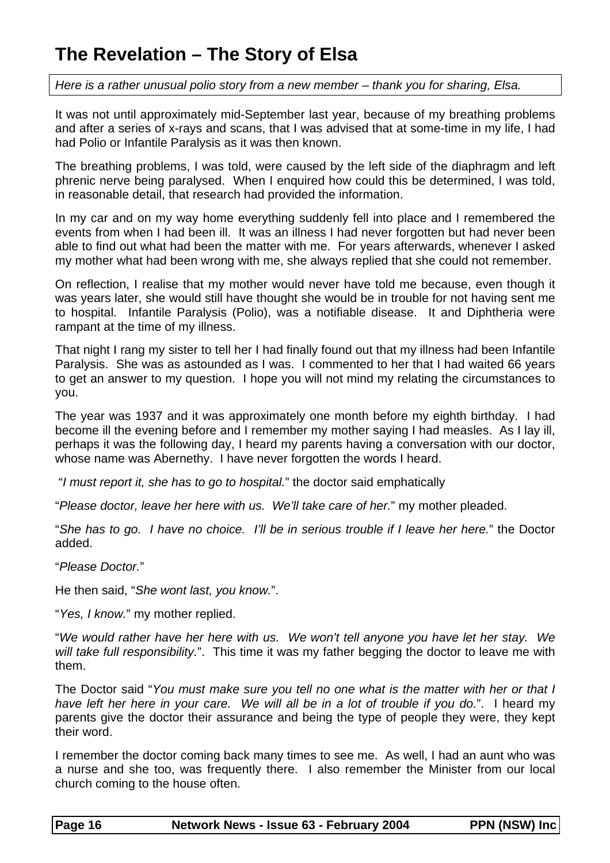## **The Revelation – The Story of Elsa**

Here is a rather unusual polio story from a new member – thank you for sharing, Elsa.

It was not until approximately mid-September last year, because of my breathing problems and after a series of x-rays and scans, that I was advised that at some-time in my life, I had had Polio or Infantile Paralysis as it was then known.

The breathing problems, I was told, were caused by the left side of the diaphragm and left phrenic nerve being paralysed. When I enquired how could this be determined, I was told, in reasonable detail, that research had provided the information.

In my car and on my way home everything suddenly fell into place and I remembered the events from when I had been ill. It was an illness I had never forgotten but had never been able to find out what had been the matter with me. For years afterwards, whenever I asked my mother what had been wrong with me, she always replied that she could not remember.

On reflection, I realise that my mother would never have told me because, even though it was years later, she would still have thought she would be in trouble for not having sent me to hospital. Infantile Paralysis (Polio), was a notifiable disease. It and Diphtheria were rampant at the time of my illness.

That night I rang my sister to tell her I had finally found out that my illness had been Infantile Paralysis. She was as astounded as I was. I commented to her that I had waited 66 years to get an answer to my question. I hope you will not mind my relating the circumstances to you.

The year was 1937 and it was approximately one month before my eighth birthday. I had become ill the evening before and I remember my mother saying I had measles. As I lay ill, perhaps it was the following day, I heard my parents having a conversation with our doctor, whose name was Abernethy. I have never forgotten the words I heard.

"I must report it, she has to go to hospital." the doctor said emphatically

"Please doctor, leave her here with us. We'll take care of her." my mother pleaded.

"She has to go. I have no choice. I'll be in serious trouble if I leave her here." the Doctor added.

"Please Doctor."

He then said, "She wont last, you know.".

"Yes, I know." my mother replied.

"We would rather have her here with us. We won't tell anyone you have let her stay. We will take full responsibility.". This time it was my father begging the doctor to leave me with them.

The Doctor said "You must make sure you tell no one what is the matter with her or that I have left her here in your care. We will all be in a lot of trouble if you do.". I heard my parents give the doctor their assurance and being the type of people they were, they kept their word.

I remember the doctor coming back many times to see me. As well, I had an aunt who was a nurse and she too, was frequently there. I also remember the Minister from our local church coming to the house often.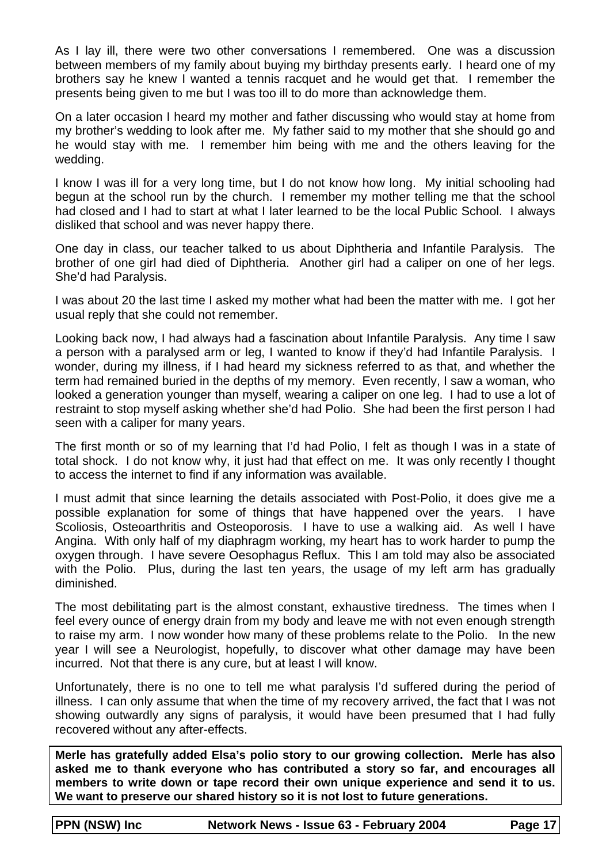As I lay ill, there were two other conversations I remembered. One was a discussion between members of my family about buying my birthday presents early. I heard one of my brothers say he knew I wanted a tennis racquet and he would get that. I remember the presents being given to me but I was too ill to do more than acknowledge them.

On a later occasion I heard my mother and father discussing who would stay at home from my brother's wedding to look after me. My father said to my mother that she should go and he would stay with me. I remember him being with me and the others leaving for the wedding.

I know I was ill for a very long time, but I do not know how long. My initial schooling had begun at the school run by the church. I remember my mother telling me that the school had closed and I had to start at what I later learned to be the local Public School. I always disliked that school and was never happy there.

One day in class, our teacher talked to us about Diphtheria and Infantile Paralysis. The brother of one girl had died of Diphtheria. Another girl had a caliper on one of her legs. She'd had Paralysis.

I was about 20 the last time I asked my mother what had been the matter with me. I got her usual reply that she could not remember.

Looking back now, I had always had a fascination about Infantile Paralysis. Any time I saw a person with a paralysed arm or leg, I wanted to know if they'd had Infantile Paralysis. I wonder, during my illness, if I had heard my sickness referred to as that, and whether the term had remained buried in the depths of my memory. Even recently, I saw a woman, who looked a generation younger than myself, wearing a caliper on one leg. I had to use a lot of restraint to stop myself asking whether she'd had Polio. She had been the first person I had seen with a caliper for many years.

The first month or so of my learning that I'd had Polio, I felt as though I was in a state of total shock. I do not know why, it just had that effect on me. It was only recently I thought to access the internet to find if any information was available.

I must admit that since learning the details associated with Post-Polio, it does give me a possible explanation for some of things that have happened over the years. I have Scoliosis, Osteoarthritis and Osteoporosis. I have to use a walking aid. As well I have Angina. With only half of my diaphragm working, my heart has to work harder to pump the oxygen through. I have severe Oesophagus Reflux. This I am told may also be associated with the Polio. Plus, during the last ten years, the usage of my left arm has gradually diminished.

The most debilitating part is the almost constant, exhaustive tiredness. The times when I feel every ounce of energy drain from my body and leave me with not even enough strength to raise my arm. I now wonder how many of these problems relate to the Polio. In the new year I will see a Neurologist, hopefully, to discover what other damage may have been incurred. Not that there is any cure, but at least I will know.

Unfortunately, there is no one to tell me what paralysis I'd suffered during the period of illness. I can only assume that when the time of my recovery arrived, the fact that I was not showing outwardly any signs of paralysis, it would have been presumed that I had fully recovered without any after-effects.

**Merle has gratefully added Elsa's polio story to our growing collection. Merle has also asked me to thank everyone who has contributed a story so far, and encourages all members to write down or tape record their own unique experience and send it to us. We want to preserve our shared history so it is not lost to future generations.**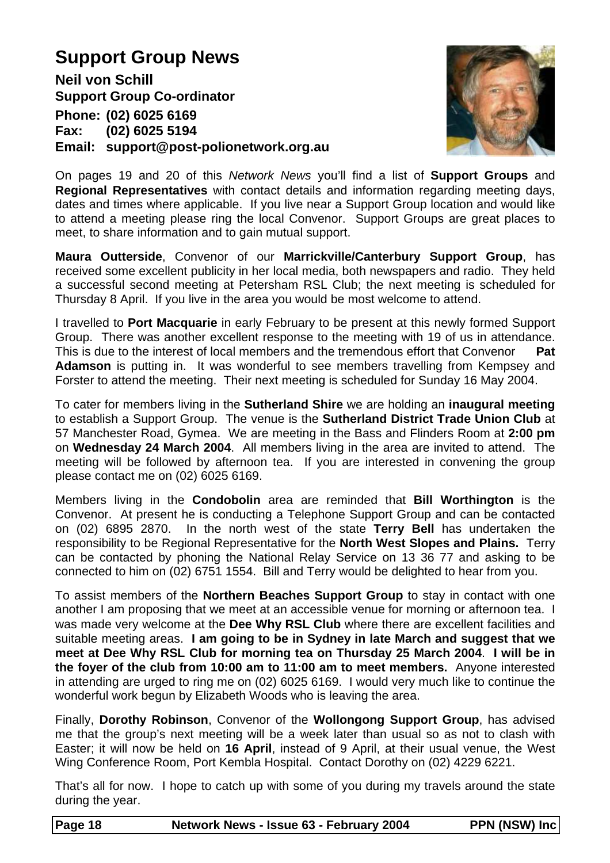## **Support Group News**

**Neil von Schill Support Group Co-ordinator Phone: (02) 6025 6169 Fax: (02) 6025 5194 Email: support@post-polionetwork.org.au**



On pages 19 and 20 of this Network News you'll find a list of **Support Groups** and **Regional Representatives** with contact details and information regarding meeting days, dates and times where applicable. If you live near a Support Group location and would like to attend a meeting please ring the local Convenor. Support Groups are great places to meet, to share information and to gain mutual support.

**Maura Outterside**, Convenor of our **Marrickville/Canterbury Support Group**, has received some excellent publicity in her local media, both newspapers and radio. They held a successful second meeting at Petersham RSL Club; the next meeting is scheduled for Thursday 8 April. If you live in the area you would be most welcome to attend.

I travelled to **Port Macquarie** in early February to be present at this newly formed Support Group. There was another excellent response to the meeting with 19 of us in attendance. This is due to the interest of local members and the tremendous effort that Convenor **Pat Adamson** is putting in. It was wonderful to see members travelling from Kempsey and Forster to attend the meeting. Their next meeting is scheduled for Sunday 16 May 2004.

To cater for members living in the **Sutherland Shire** we are holding an **inaugural meeting** to establish a Support Group. The venue is the **Sutherland District Trade Union Club** at 57 Manchester Road, Gymea. We are meeting in the Bass and Flinders Room at **2:00 pm** on **Wednesday 24 March 2004**. All members living in the area are invited to attend. The meeting will be followed by afternoon tea. If you are interested in convening the group please contact me on (02) 6025 6169.

Members living in the **Condobolin** area are reminded that **Bill Worthington** is the Convenor. At present he is conducting a Telephone Support Group and can be contacted on (02) 6895 2870. In the north west of the state **Terry Bell** has undertaken the responsibility to be Regional Representative for the **North West Slopes and Plains.** Terry can be contacted by phoning the National Relay Service on 13 36 77 and asking to be connected to him on (02) 6751 1554. Bill and Terry would be delighted to hear from you.

To assist members of the **Northern Beaches Support Group** to stay in contact with one another I am proposing that we meet at an accessible venue for morning or afternoon tea. I was made very welcome at the **Dee Why RSL Club** where there are excellent facilities and suitable meeting areas. **I am going to be in Sydney in late March and suggest that we meet at Dee Why RSL Club for morning tea on Thursday 25 March 2004**. **I will be in the foyer of the club from 10:00 am to 11:00 am to meet members.** Anyone interested in attending are urged to ring me on (02) 6025 6169. I would very much like to continue the wonderful work begun by Elizabeth Woods who is leaving the area.

Finally, **Dorothy Robinson**, Convenor of the **Wollongong Support Group**, has advised me that the group's next meeting will be a week later than usual so as not to clash with Easter; it will now be held on **16 April**, instead of 9 April, at their usual venue, the West Wing Conference Room, Port Kembla Hospital. Contact Dorothy on (02) 4229 6221.

That's all for now. I hope to catch up with some of you during my travels around the state during the year.

| Page 18<br>Network News - Issue 63 - February 2004 | <b>PPN (NSW) Inc</b> |
|----------------------------------------------------|----------------------|
|----------------------------------------------------|----------------------|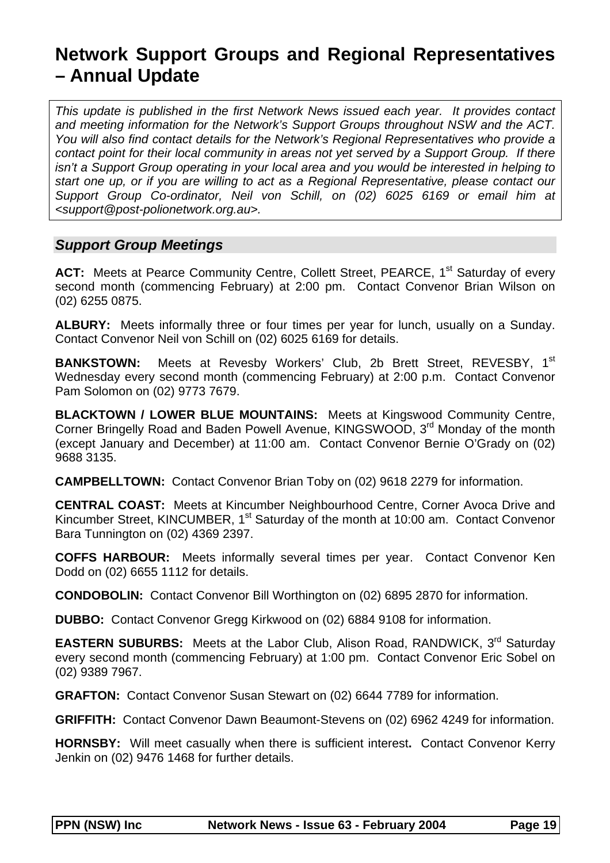## **Network Support Groups and Regional Representatives – Annual Update**

This update is published in the first Network News issued each year. It provides contact and meeting information for the Network's Support Groups throughout NSW and the ACT. You will also find contact details for the Network's Regional Representatives who provide a contact point for their local community in areas not yet served by a Support Group. If there isn't a Support Group operating in your local area and you would be interested in helping to start one up, or if you are willing to act as a Regional Representative, please contact our Support Group Co-ordinator, Neil von Schill, on (02) 6025 6169 or email him at <support@post-polionetwork.org.au>.

#### **Support Group Meetings**

ACT: Meets at Pearce Community Centre, Collett Street, PEARCE, 1<sup>st</sup> Saturday of every second month (commencing February) at 2:00 pm. Contact Convenor Brian Wilson on (02) 6255 0875.

**ALBURY:** Meets informally three or four times per year for lunch, usually on a Sunday. Contact Convenor Neil von Schill on (02) 6025 6169 for details.

**BANKSTOWN:** Meets at Revesby Workers' Club, 2b Brett Street, REVESBY, 1<sup>st</sup> Wednesday every second month (commencing February) at 2:00 p.m. Contact Convenor Pam Solomon on (02) 9773 7679.

**BLACKTOWN / LOWER BLUE MOUNTAINS:** Meets at Kingswood Community Centre, Corner Bringelly Road and Baden Powell Avenue, KINGSWOOD, 3<sup>rd</sup> Monday of the month (except January and December) at 11:00 am. Contact Convenor Bernie O'Grady on (02) 9688 3135.

**CAMPBELLTOWN:** Contact Convenor Brian Toby on (02) 9618 2279 for information.

**CENTRAL COAST:** Meets at Kincumber Neighbourhood Centre, Corner Avoca Drive and Kincumber Street, KINCUMBER, 1<sup>st</sup> Saturday of the month at 10:00 am. Contact Convenor Bara Tunnington on (02) 4369 2397.

**COFFS HARBOUR:** Meets informally several times per year. Contact Convenor Ken Dodd on (02) 6655 1112 for details.

**CONDOBOLIN:** Contact Convenor Bill Worthington on (02) 6895 2870 for information.

**DUBBO:** Contact Convenor Gregg Kirkwood on (02) 6884 9108 for information.

**EASTERN SUBURBS:** Meets at the Labor Club, Alison Road, RANDWICK, 3<sup>rd</sup> Saturday every second month (commencing February) at 1:00 pm. Contact Convenor Eric Sobel on (02) 9389 7967.

**GRAFTON:** Contact Convenor Susan Stewart on (02) 6644 7789 for information.

**GRIFFITH:** Contact Convenor Dawn Beaumont-Stevens on (02) 6962 4249 for information.

**HORNSBY:** Will meet casually when there is sufficient interest**.** Contact Convenor Kerry Jenkin on (02) 9476 1468 for further details.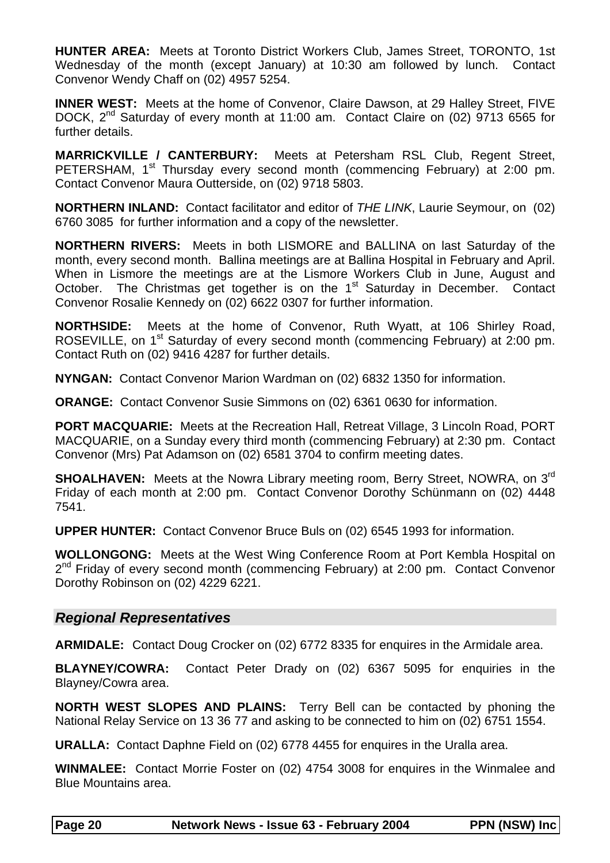**HUNTER AREA:** Meets at Toronto District Workers Club, James Street, TORONTO, 1st Wednesday of the month (except January) at 10:30 am followed by lunch. Contact Convenor Wendy Chaff on (02) 4957 5254.

**INNER WEST:** Meets at the home of Convenor, Claire Dawson, at 29 Halley Street, FIVE DOCK. 2<sup>nd</sup> Saturdav of every month at 11:00 am. Contact Claire on (02) 9713 6565 for further details.

**MARRICKVILLE / CANTERBURY:** Meets at Petersham RSL Club, Regent Street, PETERSHAM, 1<sup>st</sup> Thursday every second month (commencing February) at 2:00 pm. Contact Convenor Maura Outterside, on (02) 9718 5803.

**NORTHERN INLAND:** Contact facilitator and editor of THE LINK, Laurie Seymour, on (02) 6760 3085 for further information and a copy of the newsletter.

**NORTHERN RIVERS:** Meets in both LISMORE and BALLINA on last Saturday of the month, every second month.Ballina meetings are at Ballina Hospital in February and April. When in Lismore the meetings are at the Lismore Workers Club in June, August and October. The Christmas get together is on the 1<sup>st</sup> Saturday in December. Contact Convenor Rosalie Kennedy on (02) 6622 0307 for further information.

**NORTHSIDE:** Meets at the home of Convenor, Ruth Wyatt, at 106 Shirley Road, ROSEVILLE, on 1<sup>st</sup> Saturday of every second month (commencing February) at 2:00 pm. Contact Ruth on (02) 9416 4287 for further details.

**NYNGAN:** Contact Convenor Marion Wardman on (02) 6832 1350 for information.

**ORANGE:** Contact Convenor Susie Simmons on (02) 6361 0630 for information.

**PORT MACQUARIE:** Meets at the Recreation Hall, Retreat Village, 3 Lincoln Road, PORT MACQUARIE, on a Sunday every third month (commencing February) at 2:30 pm. Contact Convenor (Mrs) Pat Adamson on (02) 6581 3704 to confirm meeting dates.

**SHOALHAVEN:** Meets at the Nowra Library meeting room, Berry Street, NOWRA, on 3<sup>rd</sup> Friday of each month at 2:00 pm. Contact Convenor Dorothy Schünmann on (02) 4448 7541.

**UPPER HUNTER:** Contact Convenor Bruce Buls on (02) 6545 1993 for information.

**WOLLONGONG:** Meets at the West Wing Conference Room at Port Kembla Hospital on 2<sup>nd</sup> Friday of every second month (commencing February) at 2:00 pm. Contact Convenor Dorothy Robinson on (02) 4229 6221.

#### **Regional Representatives**

**ARMIDALE:** Contact Doug Crocker on (02) 6772 8335 for enquires in the Armidale area.

**BLAYNEY/COWRA:** Contact Peter Drady on (02) 6367 5095 for enquiries in the Blayney/Cowra area.

**NORTH WEST SLOPES AND PLAINS:** Terry Bell can be contacted by phoning the National Relay Service on 13 36 77 and asking to be connected to him on (02) 6751 1554.

**URALLA:** Contact Daphne Field on (02) 6778 4455 for enquires in the Uralla area.

**WINMALEE:** Contact Morrie Foster on (02) 4754 3008 for enquires in the Winmalee and Blue Mountains area.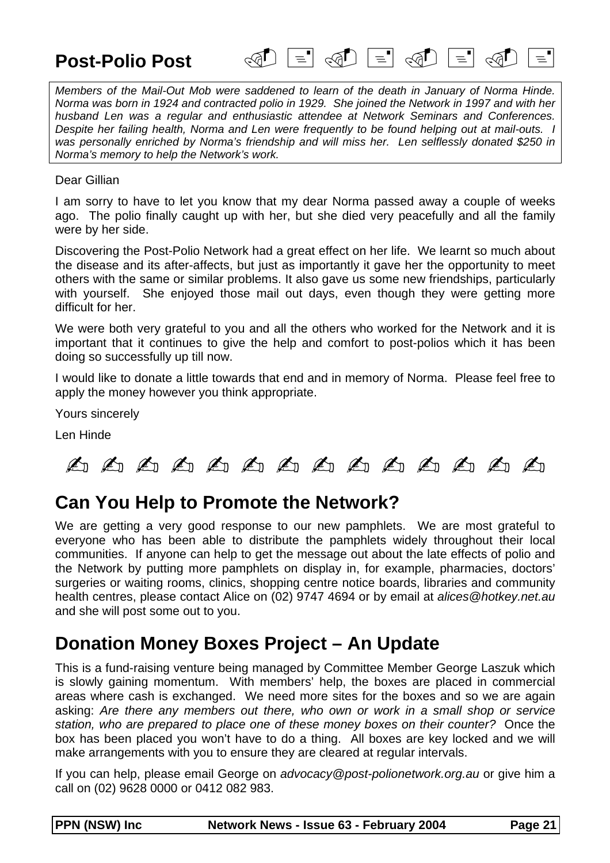**Post-Polio Post** 



Members of the Mail-Out Mob were saddened to learn of the death in January of Norma Hinde. Norma was born in 1924 and contracted polio in 1929. She joined the Network in 1997 and with her husband Len was a regular and enthusiastic attendee at Network Seminars and Conferences. Despite her failing health, Norma and Len were frequently to be found helping out at mail-outs. I was personally enriched by Norma's friendship and will miss her. Len selflessly donated \$250 in Norma's memory to help the Network's work.

Dear Gillian

I am sorry to have to let you know that my dear Norma passed away a couple of weeks ago. The polio finally caught up with her, but she died very peacefully and all the family were by her side.

Discovering the Post-Polio Network had a great effect on her life. We learnt so much about the disease and its after-affects, but just as importantly it gave her the opportunity to meet others with the same or similar problems. It also gave us some new friendships, particularly with yourself. She enjoyed those mail out days, even though they were getting more difficult for her.

We were both very grateful to you and all the others who worked for the Network and it is important that it continues to give the help and comfort to post-polios which it has been doing so successfully up till now.

I would like to donate a little towards that end and in memory of Norma. Please feel free to apply the money however you think appropriate.

Yours sincerely

Len Hinde

✍ ✍ ✍ ✍ ✍ ✍ ✍ ✍ ✍ ✍ ✍ ✍ ✍ ✍

## **Can You Help to Promote the Network?**

We are getting a very good response to our new pamphlets. We are most grateful to everyone who has been able to distribute the pamphlets widely throughout their local communities. If anyone can help to get the message out about the late effects of polio and the Network by putting more pamphlets on display in, for example, pharmacies, doctors' surgeries or waiting rooms, clinics, shopping centre notice boards, libraries and community health centres, please contact Alice on (02) 9747 4694 or by email at alices @hotkey.net.au and she will post some out to you.

## **Donation Money Boxes Project – An Update**

This is a fund-raising venture being managed by Committee Member George Laszuk which is slowly gaining momentum. With members' help, the boxes are placed in commercial areas where cash is exchanged. We need more sites for the boxes and so we are again asking: Are there any members out there, who own or work in a small shop or service station, who are prepared to place one of these money boxes on their counter? Once the box has been placed you won't have to do a thing. All boxes are key locked and we will make arrangements with you to ensure they are cleared at regular intervals.

If you can help, please email George on advocacy@post-polionetwork.org.au or give him a call on (02) 9628 0000 or 0412 082 983.

|  | <b>PPN (NSW) Inc</b> |  |
|--|----------------------|--|
|--|----------------------|--|